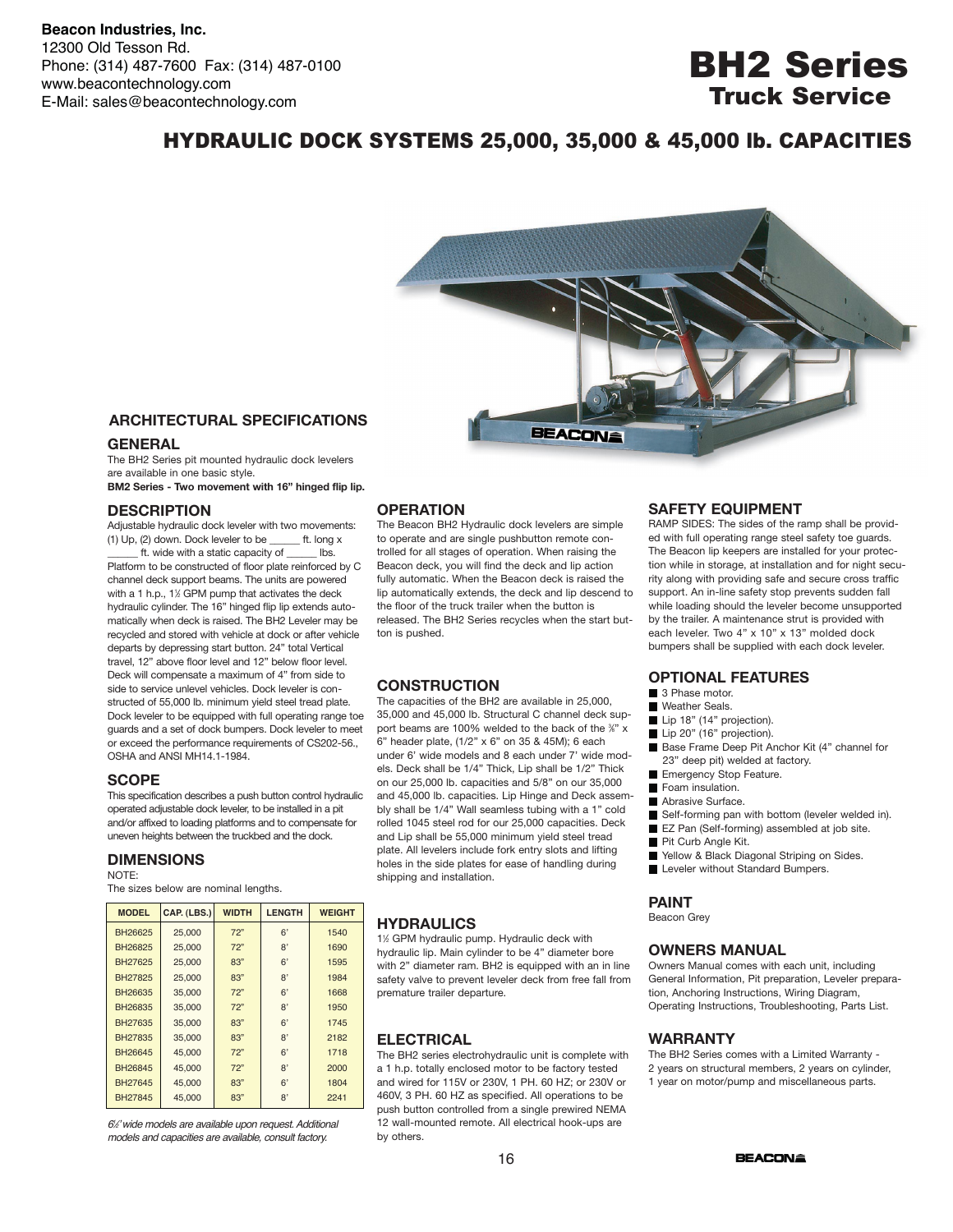## **BH2 Series Truck Service**

### HYDRAULIC DOCK SYSTEMS 25,000, 35,000 & 45,000 lb. CAPACITIES



#### **ARCHITECTURAL SPECIFICATIONS**

#### **GENERAL**

The BH2 Series pit mounted hydraulic dock levelers are available in one basic style. **BM2 Series - Two movement with 16" hinged flip lip.** 

**DESCRIPTION** 

Adjustable hydraulic dock leveler with two movements: (1) Up, (2) down. Dock leveler to be  $\_\_$ ft. long x

ft. wide with a static capacity of \_\_\_\_\_ lbs. Platform to be constructed of floor plate reinforced by C channel deck support beams. The units are powered with a 1 h.p., 1½ GPM pump that activates the deck hydraulic cylinder. The 16" hinged flip lip extends automatically when deck is raised. The BH2 Leveler may be recycled and stored with vehicle at dock or after vehicle departs by depressing start button. 24" total Vertical travel, 12" above floor level and 12" below floor level. Deck will compensate a maximum of 4" from side to side to service unlevel vehicles. Dock leveler is constructed of 55,000 lb. minimum yield steel tread plate. Dock leveler to be equipped with full operating range toe quards and a set of dock bumpers. Dock leveler to meet or exceed the performance requirements of CS202-56., OSHA and ANSI MH14.1-1984.

#### **SCOPE**

This specification describes a push button control hydraulic operated adjustable dock leveler, to be installed in a pit and/or affixed to loading platforms and to compensate for uneven heights between the truckbed and the dock.

#### **DIMENSIONS**

NOTE:

The sizes below are nominal lengths

| <b>MODEL</b> | CAP. (LBS.) | <b>WIDTH</b> | <b>LENGTH</b> | <b>WEIGHT</b> |
|--------------|-------------|--------------|---------------|---------------|
| BH26625      | 25,000      | 72"          | 6'            | 1540          |
| BH26825      | 25,000      | 72"          | 8'            | 1690          |
| BH27625      | 25,000      | 83"          | 6'            | 1595          |
| BH27825      | 25,000      | 83"          | R'            | 1984          |
| BH26635      | 35,000      | 72"          | 6'            | 1668          |
| BH26835      | 35,000      | 72"          | 8'            | 1950          |
| BH27635      | 35,000      | 83"          | 6'            | 1745          |
| BH27835      | 35,000      | 83"          | R'            | 2182          |
| BH26645      | 45.000      | 72"          | 6'            | 1718          |
| BH26845      | 45.000      | 72"          | 8'            | 2000          |
| BH27645      | 45.000      | 83"          | 6'            | 1804          |
| BH27845      | 45.000      | 83"          | 8'            | 2241          |

6%' wide models are available upon request. Additional models and capacities are available, consult factory.

#### **OPERATION**

The Beacon BH2 Hydraulic dock levelers are simple to operate and are single pushbutton remote controlled for all stages of operation. When raising the Beacon deck, you will find the deck and lip action fully automatic. When the Beacon deck is raised the lip automatically extends, the deck and lip descend to the floor of the truck trailer when the button is released. The BH2 Series recycles when the start button is pushed.

#### **CONSTRUCTION**

The capacities of the BH2 are available in 25,000, 35,000 and 45,000 lb. Structural C channel deck support beams are 100% welded to the back of the  $\%$ " x 6" header plate,  $(1/2" \times 6"$  on 35 & 45M); 6 each under 6' wide models and 8 each under 7' wide models. Deck shall be 1/4" Thick, Lip shall be 1/2" Thick on our 25,000 lb. capacities and 5/8" on our 35,000 and 45,000 lb. capacities. Lip Hinge and Deck assembly shall be 1/4" Wall seamless tubing with a 1" cold rolled 1045 steel rod for our 25,000 capacities. Deck and Lip shall be 55,000 minimum yield steel tread plate. All levelers include fork entry slots and lifting holes in the side plates for ease of handling during shipping and installation.

#### **HYDRAULICS**

1½ GPM hydraulic pump. Hydraulic deck with hydraulic lip. Main cylinder to be 4" diameter bore with 2" diameter ram. BH2 is equipped with an in line safety valve to prevent leveler deck from free fall from premature trailer departure.

#### **ELECTRICAL**

The BH2 series electrohydraulic unit is complete with a 1 h.p. totally enclosed motor to be factory tested and wired for 115V or 230V, 1 PH. 60 HZ; or 230V or 460V, 3 PH. 60 HZ as specified. All operations to be push button controlled from a single prewired NEMA 12 wall-mounted remote. All electrical hook-ups are by others.

#### **SAFETY EQUIPMENT**

RAMP SIDES: The sides of the ramp shall be provided with full operating range steel safety toe guards. The Beacon lip keepers are installed for your protection while in storage, at installation and for night security along with providing safe and secure cross traffic support. An in-line safety stop prevents sudden fall while loading should the leveler become unsupported by the trailer. A maintenance strut is provided with each leveler. Two 4" x 10" x 13" molded dock bumpers shall be supplied with each dock leveler.

#### **OPTIONAL FEATURES**

- $\blacksquare$  3 Phase motor
- **E** Weather Seals
- Lip 18" (14" projection).
- Lip 20" (16" projection).
- Base Frame Deep Pit Anchor Kit (4" channel for 23" deep pit) welded at factory.
- **E** Emergency Stop Feature.
- Foam insulation.
- **Abrasive Surface.**
- Self-forming pan with bottom (leveler welded in).
- **EZ Pan (Self-forming) assembled at job site.**
- Pit Curb Angle Kit.
- Pellow & Black Diagonal Striping on Sides.
- **Leveler without Standard Bumpers.**

#### **PAINT**

Beacon Grey

#### *OWNERS MANUAL*

Owners Manual comes with each unit, including General Information, Pit preparation, Leveler preparation, Anchoring Instructions, Wiring Diagram, Operating Instructions, Troubleshooting, Parts List.

#### **WARRANTY**

The BH2 Series comes with a Limited Warranty -2 years on structural members, 2 years on cylinder, 1 year on motor/pump and miscellaneous parts.